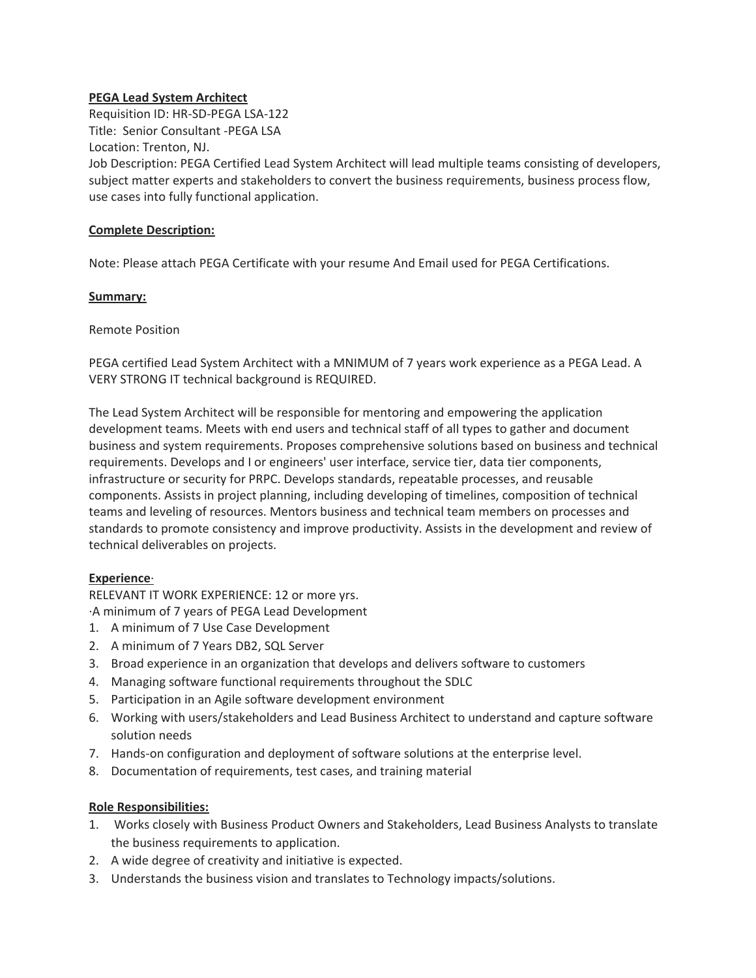### **PEGA Lead System Architect**

Requisition ID: HR-SD-PEGA LSA-122 Title: Senior Consultant -PEGA LSA Location: Trenton, NJ. Job Description: PEGA Certified Lead System Architect will lead multiple teams consisting of developers, subject matter experts and stakeholders to convert the business requirements, business process flow, use cases into fully functional application.

### **Complete Description:**

Note: Please attach PEGA Certificate with your resume And Email used for PEGA Certifications.

#### **Summary:**

Remote Position

PEGA certified Lead System Architect with a MNIMUM of 7 years work experience as a PEGA Lead. A VERY STRONG IT technical background is REQUIRED.

The Lead System Architect will be responsible for mentoring and empowering the application development teams. Meets with end users and technical staff of all types to gather and document business and system requirements. Proposes comprehensive solutions based on business and technical requirements. Develops and I or engineers' user interface, service tier, data tier components, infrastructure or security for PRPC. Develops standards, repeatable processes, and reusable components. Assists in project planning, including developing of timelines, composition of technical teams and leveling of resources. Mentors business and technical team members on processes and standards to promote consistency and improve productivity. Assists in the development and review of technical deliverables on projects.

# **Experience**·

RELEVANT IT WORK EXPERIENCE: 12 or more yrs.

·A minimum of 7 years of PEGA Lead Development

- 1. A minimum of 7 Use Case Development
- 2. A minimum of 7 Years DB2, SQL Server
- 3. Broad experience in an organization that develops and delivers software to customers
- 4. Managing software functional requirements throughout the SDLC
- 5. Participation in an Agile software development environment
- 6. Working with users/stakeholders and Lead Business Architect to understand and capture software solution needs
- 7. Hands-on configuration and deployment of software solutions at the enterprise level.
- 8. Documentation of requirements, test cases, and training material

# **Role Responsibilities:**

- 1. Works closely with Business Product Owners and Stakeholders, Lead Business Analysts to translate the business requirements to application.
- 2. A wide degree of creativity and initiative is expected.
- 3. Understands the business vision and translates to Technology impacts/solutions.